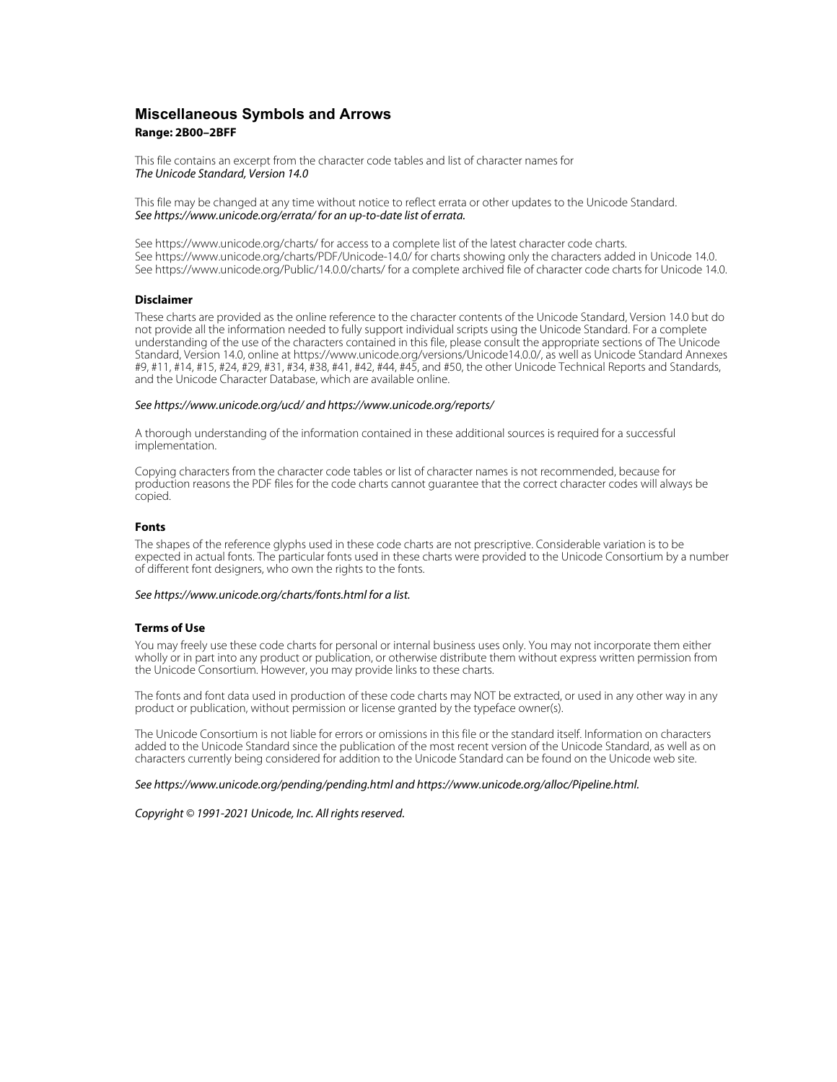# **Miscellaneous Symbols and Arrows Range: 2B00–2BFF**

This file contains an excerpt from the character code tables and list of character names for The Unicode Standard, Version 14.0

This file may be changed at any time without notice to reflect errata or other updates to the Unicode Standard. See https://www.unicode.org/errata/ for an up-to-date list of errata.

See https://www.unicode.org/charts/ for access to a complete list of the latest character code charts. See https://www.unicode.org/charts/PDF/Unicode-14.0/ for charts showing only the characters added in Unicode 14.0. See https://www.unicode.org/Public/14.0.0/charts/ for a complete archived file of character code charts for Unicode 14.0.

### **Disclaimer**

These charts are provided as the online reference to the character contents of the Unicode Standard, Version 14.0 but do not provide all the information needed to fully support individual scripts using the Unicode Standard. For a complete understanding of the use of the characters contained in this file, please consult the appropriate sections of The Unicode Standard, Version 14.0, online at https://www.unicode.org/versions/Unicode14.0.0/, as well as Unicode Standard Annexes #9, #11, #14, #15, #24, #29, #31, #34, #38, #41, #42, #44, #45, and #50, the other Unicode Technical Reports and Standards, and the Unicode Character Database, which are available online.

#### See https://www.unicode.org/ucd/ and https://www.unicode.org/reports/

A thorough understanding of the information contained in these additional sources is required for a successful implementation.

Copying characters from the character code tables or list of character names is not recommended, because for production reasons the PDF files for the code charts cannot guarantee that the correct character codes will always be copied.

#### **Fonts**

The shapes of the reference glyphs used in these code charts are not prescriptive. Considerable variation is to be expected in actual fonts. The particular fonts used in these charts were provided to the Unicode Consortium by a number of different font designers, who own the rights to the fonts.

### See https://www.unicode.org/charts/fonts.html for a list.

#### **Terms of Use**

You may freely use these code charts for personal or internal business uses only. You may not incorporate them either wholly or in part into any product or publication, or otherwise distribute them without express written permission from the Unicode Consortium. However, you may provide links to these charts.

The fonts and font data used in production of these code charts may NOT be extracted, or used in any other way in any product or publication, without permission or license granted by the typeface owner(s).

The Unicode Consortium is not liable for errors or omissions in this file or the standard itself. Information on characters added to the Unicode Standard since the publication of the most recent version of the Unicode Standard, as well as on characters currently being considered for addition to the Unicode Standard can be found on the Unicode web site.

#### See https://www.unicode.org/pending/pending.html and https://www.unicode.org/alloc/Pipeline.html.

Copyright © 1991-2021 Unicode, Inc. All rights reserved.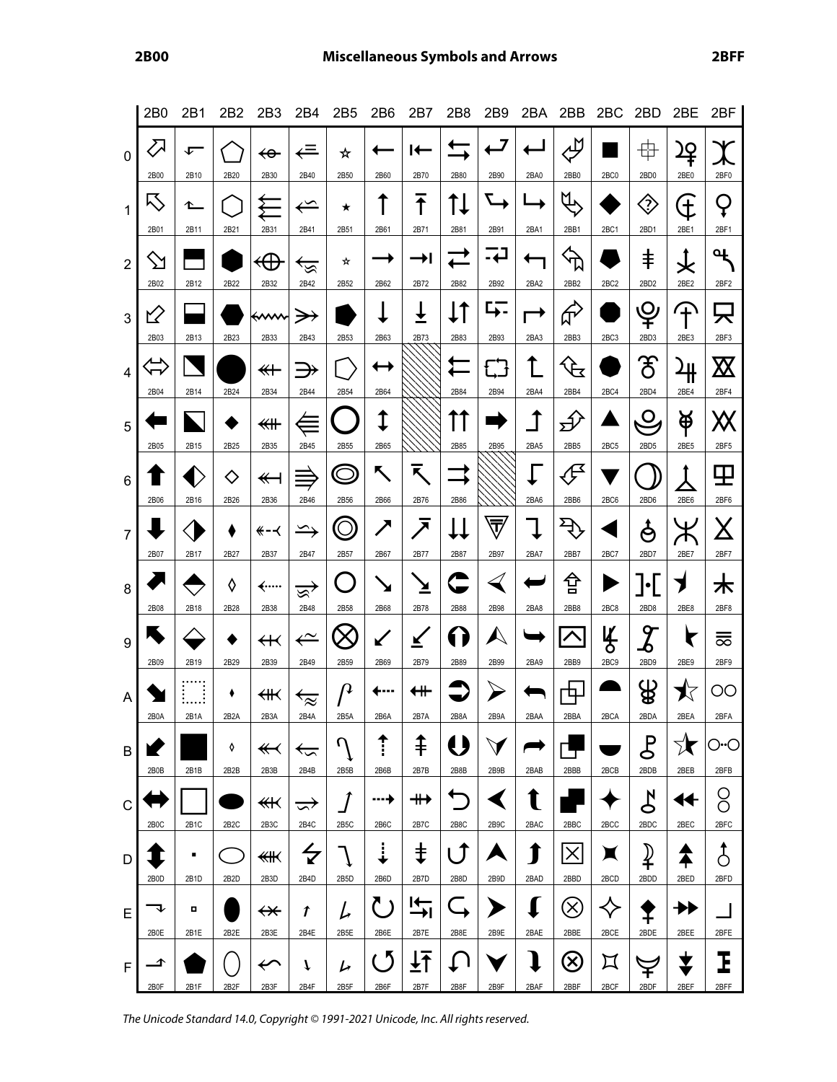|                | 2 <sub>B0</sub>   | 2B1               | 2B2                    | 2B3                             | 2B4                             | 2B <sub>5</sub>       | 2B6                       | 2B7                       | 2B8               | 2B9                                  | 2BA                 | 2BB                                         | 2BC                         | 2BD                              | 2BE                          | 2BF                      |
|----------------|-------------------|-------------------|------------------------|---------------------------------|---------------------------------|-----------------------|---------------------------|---------------------------|-------------------|--------------------------------------|---------------------|---------------------------------------------|-----------------------------|----------------------------------|------------------------------|--------------------------|
| $\mathbf 0$    | $\sum$<br>2B00    | ⊊<br>2B10         | 2B20                   | ↫<br>2B30                       | $\Leftarrow$<br>2B40            | ☆<br>2B50             | 2B60                      | ┡<br>2B70                 | 2B80              | 2B90                                 | 2BA0                | лĎ<br>2BB0                                  | 2BC0                        | 中<br>2BD0                        | <u>)Q</u><br>2BE0            | 2BF0                     |
| $\mathbf{1}$   | 1                 |                   |                        |                                 | $\hookleftarrow$                | ★                     |                           | $\overline{\textbf{f}}$   |                   |                                      |                     | Щ                                           |                             | ◈                                | $\overleftarrow{\downarrow}$ | Q                        |
| $\overline{2}$ | 2B01<br>$\sum$    | 2B11              | 2B21                   | 2B31<br>↫                       | 2B41<br><u>ري</u>               | 2B51<br>☆             | 2B61                      | 2B71<br>D                 | 2B81              | 2B91<br><mark>ئے۔</mark>             | 2BA1                | 2BB1<br>$\bigoplus$                         | 2BC1                        | 2BD1<br>$\ddagger$               | 2BE1<br>攴                    | 2BF1<br>Վ                |
| 3              | 2B02<br>ビ         | 2B12              | 2B22                   | 2B32<br>⇜                       | 2B42<br>$\rightarrow$           | 2B52                  | 2B62                      | 2B72<br>$\overline{\tau}$ | 2B82<br>$\cdot$ 1 | 2B92<br>↳.                           | 2BA2                | 2BB <sub>2</sub><br>$\phi$                  | 2BC <sub>2</sub>            | 2BD <sub>2</sub><br>¥            | 2BE2<br>∓                    | 2BF2<br>只                |
|                | 2B03              | 2B13              | 2B23                   | 2B33                            | 2B43                            | 2B53                  | 2B63                      | 2B73                      | 2B83              | 2B93                                 | 2BA3                | 2BB3                                        | 2BC3                        | 2BD3                             | 2BE3                         | 2BF3                     |
| $\overline{4}$ | ↽<br>2B04         | 2B14              | 2B24                   | $\overline{\ast}$<br>2B34       | $\Rightarrow$<br>2B44           | 2B54                  | 2B64                      |                           | 2B84              | ርጋ<br>2B94                           | ↑<br>2BA4           | $\mathcal{F}$<br>2BB4                       | 2BC4                        | ී<br>2BD4                        | <u>내</u><br>2BE4             | $\boxtimes$<br>2BF4      |
| 5              | 2B05              | 2B15              | 2B25                   | ≰₩<br>2B35                      | $\equiv$<br>2B45                | 2B55                  | 1<br>2B65                 |                           | 2B85              | 2B95                                 | $\uparrow$<br>2BA5  | $\mathcal{P}$<br>2BB5                       | 2BC5                        | $\mathbf{O}$<br>2BD <sub>5</sub> | 单<br>2BE5                    | Ж<br>2BF5                |
| 6              | 2B06              | 2B16              | ♦<br>2B26              | $\overline{\mathbf{y}}$<br>2B36 | 2B46                            | 2B56                  | ↖<br>2B66                 | K<br>2B76                 | 2B86              |                                      | 2BA6                | 伊<br>2BB6                                   | 2BC6                        | 2BD6                             | 2BE6                         | ⊞<br>2BF6                |
| $\overline{7}$ |                   |                   |                        | —≫                              | $\sum$                          |                       | ╱                         | $\overline{\phantom{a}}$  |                   | $\overline{\overline{\overline{v}}}$ |                     | $\overline{\mathcal{L}}$                    |                             | ş                                |                              | <u>X</u>                 |
| 8              | 2B07              | 2B17              | 2B27<br>◊              | 2B37<br>–……                     | 2B47<br>ভ্ৰু                    | 2B57<br>L.            | 2B67<br>↘                 | 2B77<br>≚                 | 2B87              | 2B97                                 | 2BA7                | 2BB7<br>슙                                   | 2BC7                        | 2BD7<br>」·L                      | 2BE7                         | 2BF7<br>木                |
|                | 2B08<br>۰         | 2B18              | 2B28                   | 2B38<br>$\bm{\mathsf{H}}$       | 2B48<br>$\leftarrow$            | 2B58                  | 2B68<br>$\bigvee$         | 2B78<br>✔                 | 2B88<br>1)        | 2B98<br>$\blacktriangle$             | 2BA8                | 2BB8<br>$\curvearrowright$                  | 2BC8<br>ly<br>5             | 2BD8<br>${\mathcal{Z}}$          | 2BE8<br>Г                    | 2BF8<br>ਛ                |
| 9              | 2B09              | 2B19              | 2B29                   | 2B39                            | 2B49                            | 2B59                  | 2B69                      | 2B79                      | 2B89              | 2B99                                 | 2BA9                | 2BB9                                        | 2BC9                        | 2BD9                             | 2BE9                         | 2BF9                     |
| A              | 2B0A              | 2B1A              | ٠<br>2B <sub>2</sub> A | ∰<br>2B3A                       | $\overline{\approx}$<br>2B4A    | 14<br>2B5A            | <br>2B6A                  | ⇺<br>2B7A                 | 2B8A              | 2B9A                                 | 2BAA                | Ц.<br>2BBA                                  | 2BCA                        | ₩<br>2BDA                        | ≸<br>2BEA                    | OO<br>2BFA               |
| В              | 2B0B              | 2B1B              | ♦<br>2B2B              | $\overline{\mathbf{f}}$<br>2B3B | $\overleftarrow{\cdot}$<br>2B4B | $\mathcal{U}$<br>2B5B | <del>1</del><br>:<br>2B6B | ⇞<br>2B7B                 | 2B8B              | 2B9B                                 | 2BAB                | 2BBB                                        | 2BCB                        | $\mathcal{E}$<br>2BDB            | 1€<br>2BEB                   | O <sub>"</sub> O<br>2BFB |
| C              | 2B <sub>0</sub> C | 2B <sub>1</sub> C | 2B <sub>2</sub> C      | ↞<br>2B3C                       | $\Rightarrow$<br>2B4C           | 2B5C                  | ┅+<br>2B6C                | ⇻<br>2B7C                 | 2B8C              | 2B9C                                 | T<br>2BAC           | 2BBC                                        | 2BCC                        | $\mathcal{L}$<br>2BDC            | ◀✦<br>2BEC                   | O<br>Ō<br>2BFC           |
| D              |                   | ٠                 |                        | 侌                               | $\overline{\check{z}}$          |                       | $\vdots$                  | $\ddagger$                | $\mathbf{f}$      |                                      | 1                   | $\times$                                    | X                           | $\mathbf{\mathcal{P}}$           |                              | ්                        |
| E              | 2B0D              | 2B1D<br>п         | 2B <sub>2</sub> D      | 2B3D<br>$\bm{\nleftrightarrow}$ | 2B4D<br>t                       | 2B5D<br>L             | 2B6D                      | 2B7D<br>ı÷                | 2B8D              | 2B9D                                 | 2BAD<br>$\mathbf I$ | 2BBD<br>$\left\langle \times \right\rangle$ | 2BCD                        | 2BDD                             | 2BED<br>╋┣                   | 2BFD                     |
|                | 2B0E              | 2B1E              | 2B2E                   | 2B3E                            | 2B4E                            | 2B5E                  | 2B6E                      | 2B7E                      | 2B8E              | 2B9E                                 | 2BAE                | 2BBE                                        | 2BCE                        | 2BDE                             | 2BEE                         | 2BFE                     |
| F              | ◢<br>2B0F         | 2B1F              | 2B <sub>2</sub> F      | $\overline{\leftarrow}$<br>2B3F | 1<br>2B4F                       | レ<br>2B5F             | - 5<br>2B6F               | ┹╋<br>2B7F                | 2B8F              | 2B9F                                 | I<br>2BAF           | $(\!\times\!)$<br>2BBF                      | $\bm{\mathsf{\Pi}}$<br>2BCF | 2BDF                             | ✔<br>2BEF                    | Ι<br>2BFF                |

The Unicode Standard 14.0, Copyright © 1991-2021 Unicode, Inc. All rights reserved.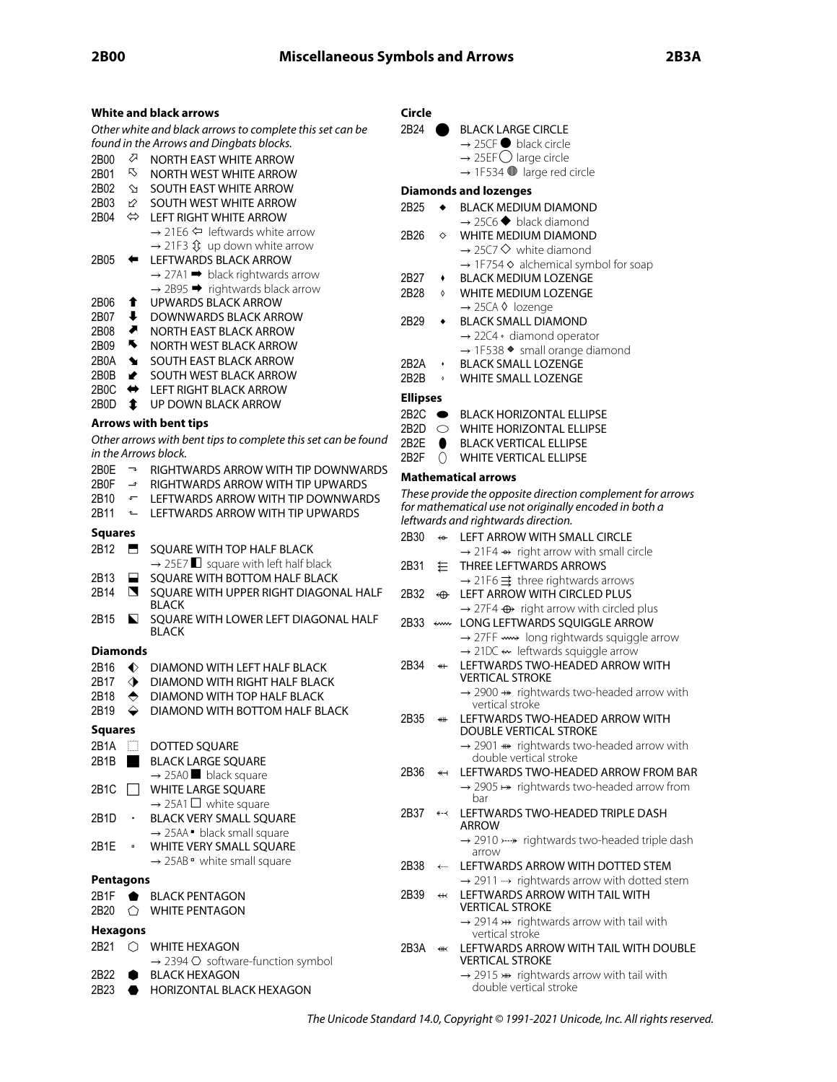### **White and black arrows** Other white and black arrows to complete this set can be found in the Arrows and Dingbats blocks. 2B00  $\sqrt{2}$  NORTH EAST WHITE ARROW<br>2B01  $\sqrt{5}$  NORTH WEST WHITE ARROW NORTH WEST WHITE ARROW 2B02 **SOUTH EAST WHITE ARROW** 2B03  $\&$  SOUTH WEST WHITE ARROW 2B04  $\Leftrightarrow$  LEFT RIGHT WHITE ARROW  $\rightarrow$  21E6  $\Leftrightarrow$  leftwards white arrow  $\rightarrow$  21F3  $\hat{V}$  up down white arrow 2B05 ← LEFTWARDS BLACK ARROW  $\rightarrow$  27A1  $\rightarrow$  black rightwards arrow  $\rightarrow$  2B95  $\rightarrow$  rightwards black arrow 2B06 ⬆ UPWARDS BLACK ARROW 2B07  $\bigoplus$  DOWNWARDS BLACK ARROW 2B08 ⬈ NORTH EAST BLACK ARROW 2B09 **WEST BLACK ARROW** 2B0A SOUTH EAST BLACK ARROW 2B0B  $\rightarrow$  SOUTH WEST BLACK ARROW 2B0C ← LEFT RIGHT BLACK ARROW 2B0D  $\bullet$  UP DOWN BLACK ARROW **Arrows with bent tips** Other arrows with bent tips to complete this set can be found in the Arrows block. 2B0E  $\rightarrow$  RIGHTWARDS ARROW WITH TIP DOWNWARDS  $2B0F \rightarrow RIGHTWARDS ARROW WITH TIP UPWARDS$ 2B10  $\leftarrow$  LEFTWARDS ARROW WITH TIP DOWNWARDS 2B11 ← LEFTWARDS ARROW WITH TIP UPWARDS **Squares** 2B12 **E** SQUARE WITH TOP HALF BLACK  $\rightarrow$  25E7  $\Box$  square with left half black 2B13 **E** SQUARE WITH BOTTOM HALF BLACK 2B14 SQUARE WITH UPPER RIGHT DIAGONAL HALF BLACK 2B15 
SQUARE WITH LOWER LEFT DIAGONAL HALF BLACK **Diamonds** 2B16  $\blacklozenge$  DIAMOND WITH LEFT HALF BLACK 2B17  $\diamondsuit$  DIAMOND WITH RIGHT HALF BLACK 2B18  $\leftrightarrow$  DIAMOND WITH TOP HALF BLACK 2B19  $\leftrightarrow$  DIAMOND WITH BOTTOM HALF BLACK **Squares** 2B1A **DOTTED SOUARE** 2B1B BLACK LARGE SQUARE  $\rightarrow$  25A0 black square 2B1C WHITE LARGE SQUARE  $\rightarrow$  25A1  $\Box$  white square 2B1D · BLACK VERY SMALL SQUARE  $\rightarrow$  25AA  $\bullet$  black small square 2B1E • WHITE VERY SMALL SQUARE  $\rightarrow$  25AB  $\degree$  white small square **Pentagons** 2B1F BLACK PENTAGON 2B20  $\bigcirc$  WHITE PENTAGON **Hexagons** 2B21  $\bigcirc$  WHITE HEXAGON  $\rightarrow$  2394  $\circlearrowright$  software-function symbol

#### 2B22 **BLACK HEXAGON** 2B23 **· HORIZONTAL BLACK HEXAGON**

## **Circle**

|   | 2B24                 |                         | <b>BLACK LARGE CIRCLE</b><br>$\rightarrow$ 25CF $\bullet$ black circle                               |
|---|----------------------|-------------------------|------------------------------------------------------------------------------------------------------|
|   |                      |                         | $\rightarrow$ 25EF $\bigcirc$ large circle                                                           |
|   |                      |                         | $\rightarrow$ 1F534 $\bullet$ large red circle                                                       |
|   |                      |                         | <b>Diamonds and lozenges</b>                                                                         |
|   | 2B25                 | $\bullet$               | <b>BLACK MEDIUM DIAMOND</b>                                                                          |
|   |                      |                         | $\rightarrow$ 25C6 $\blacklozenge$ black diamond                                                     |
|   | 2B26                 | $\Diamond$              | WHITE MEDIUM DIAMOND                                                                                 |
|   |                      |                         | $\rightarrow$ 25C7 $\diamondsuit$ white diamond                                                      |
|   |                      |                         | → 1F754 & alchemical symbol for soap                                                                 |
|   | 2B27                 |                         | <b>BLACK MEDIUM LOZENGE</b>                                                                          |
|   | 2B28                 | ♦                       | WHITE MEDIUM LOZENGE                                                                                 |
|   |                      |                         | $\rightarrow$ 25CA $\Diamond$ lozenge                                                                |
|   | 2B29                 |                         | <b>BLACK SMALL DIAMOND</b>                                                                           |
|   |                      |                         | $\rightarrow$ 22C4 $\cdot$ diamond operator                                                          |
|   | 2B2A                 |                         | → 1F538 • small orange diamond<br><b>BLACK SMALL LOZENGE</b>                                         |
|   | 2B2B                 | $\pmb{\Diamond}$        | <b>WHITE SMALL LOZENGE</b>                                                                           |
|   |                      |                         |                                                                                                      |
|   | <b>Ellipses</b>      |                         |                                                                                                      |
|   | $2B2C$ $\bullet$     |                         | <b>BLACK HORIZONTAL ELLIPSE</b>                                                                      |
| ı | 2B2D $\circ$<br>2B2E |                         | WHITE HORIZONTAL ELLIPSE<br><b>BLACK VERTICAL ELLIPSE</b>                                            |
|   | 2B <sub>2</sub> F    | $\bullet$<br>Ω          | <b>WHITE VERTICAL ELLIPSE</b>                                                                        |
| 5 |                      |                         |                                                                                                      |
|   |                      |                         | <b>Mathematical arrows</b>                                                                           |
|   |                      |                         | These provide the opposite direction complement for arrows                                           |
|   |                      |                         | for mathematical use not originally encoded in both a<br>leftwards and rightwards direction.         |
|   | 2B30                 | $\leftrightarrow$       | LEFT ARROW WITH SMALL CIRCLE                                                                         |
|   |                      |                         | $\rightarrow$ 21F4 $\leftrightarrow$ right arrow with small circle                                   |
|   | 2B31                 | とー                      | <b>THREE LEFTWARDS ARROWS</b>                                                                        |
|   |                      |                         | $\rightarrow$ 21F6 $\Rightarrow$ three rightwards arrows                                             |
|   | 2B32                 | $\bigoplus$             | LEFT ARROW WITH CIRCLED PLUS                                                                         |
|   |                      |                         | $\rightarrow$ 27F4 $\oplus$ right arrow with circled plus                                            |
|   | 2B33                 | ←                       | LONG LEFTWARDS SQUIGGLE ARROW                                                                        |
|   |                      |                         | → 27FF <w> long rightwards squiggle arrow</w>                                                        |
|   |                      |                         | $\rightarrow$ 21DC $\leftarrow$ leftwards squiggle arrow                                             |
|   | 2B34                 | $\overline{\ast}$       | LEFTWARDS TWO-HEADED ARROW WITH<br><b>VERTICAL STROKE</b>                                            |
|   |                      |                         | $\rightarrow$ 2900 $\rightarrow$ rightwards two-headed arrow with                                    |
|   |                      |                         | vertical stroke                                                                                      |
|   | 2B35                 | ⊯                       | LEFTWARDS TWO-HEADED ARROW WITH                                                                      |
|   |                      |                         | DOUBLE VERTICAL STROKE                                                                               |
|   |                      |                         | $\rightarrow$ 2901 $\rightarrow$ rightwards two-headed arrow with                                    |
|   |                      |                         | double vertical stroke                                                                               |
|   | 2B36                 | $\leftrightarrow$       | LEFTWARDS TWO-HEADED ARROW FROM BAR                                                                  |
|   |                      |                         | $\rightarrow$ 2905 $\leftrightarrow$ rightwards two-headed arrow from<br>bar                         |
|   | 2B37                 | ↞⇁≺                     | LEFTWARDS TWO-HEADED TRIPLE DASH                                                                     |
|   |                      |                         | ARROW                                                                                                |
|   |                      |                         | $\rightarrow$ 2910 > $\rightarrow$ rightwards two-headed triple dash                                 |
|   |                      |                         | arrow                                                                                                |
|   | 2B38                 | $\leftarrow$            | LEFTWARDS ARROW WITH DOTTED STEM                                                                     |
|   | 2B39                 | $\overline{\mathbf{t}}$ | $\rightarrow$ 2911 $\rightarrow$ rightwards arrow with dotted stem<br>LEFTWARDS ARROW WITH TAIL WITH |
|   |                      |                         | <b>VERTICAL STROKE</b>                                                                               |
|   |                      |                         | $\rightarrow$ 2914 $\rightarrow$ rightwards arrow with tail with                                     |
|   |                      |                         | vertical stroke                                                                                      |
|   | 2B3A                 | #                       | LEFTWARDS ARROW WITH TAIL WITH DOUBLE                                                                |
|   |                      |                         | <b>VERTICAL STROKE</b>                                                                               |
|   |                      |                         | → 2915 > rightwards arrow with tail with<br>double vertical stroke                                   |
|   |                      |                         |                                                                                                      |

The Unicode Standard 14.0, Copyright © 1991-2021 Unicode, Inc. All rights reserved.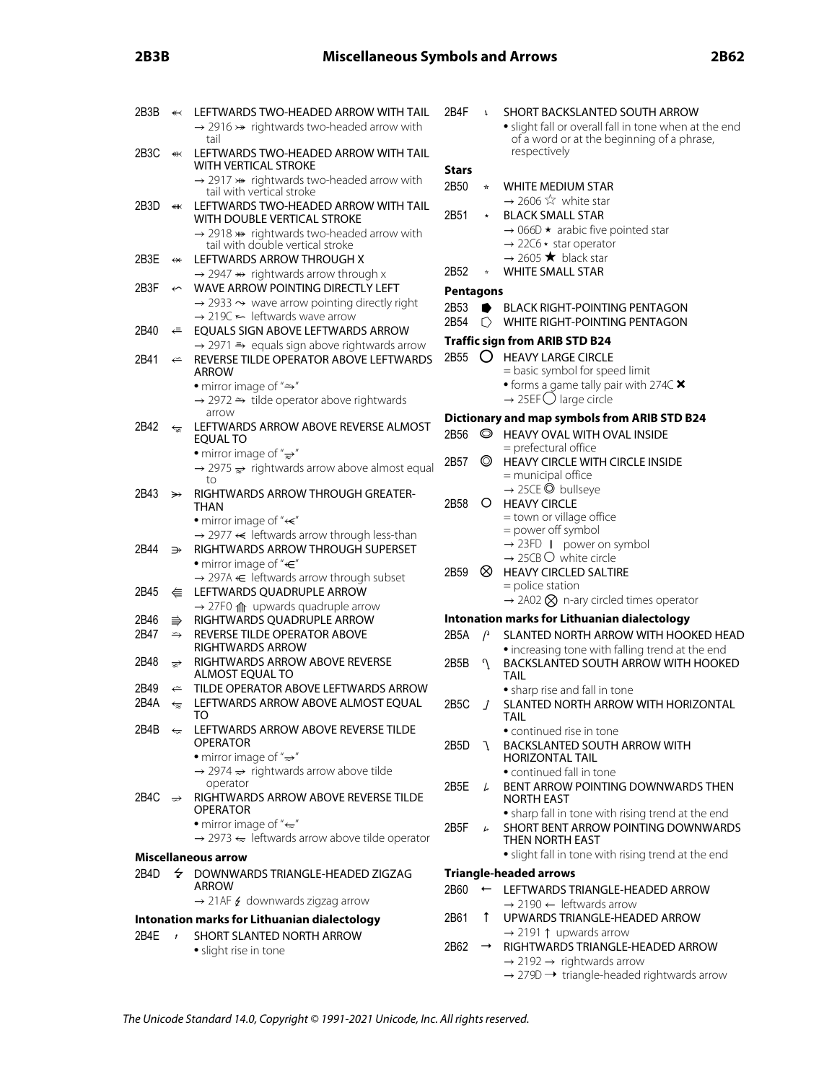| 2B3B               | $\overline{\mathbf{1}}$              | LEFTWARDS TWO-HEADED ARROW WITH TAIL<br>$\rightarrow$ 2916 $\nrightarrow$ rightwards two-headed arrow with<br>tail                    | 2B4F                   |
|--------------------|--------------------------------------|---------------------------------------------------------------------------------------------------------------------------------------|------------------------|
| 2B3C               | ¥                                    | LEFTWARDS TWO-HEADED ARROW WITH TAIL<br>WITH VERTICAL STROKE                                                                          | <b>Stars</b>           |
|                    |                                      | $\rightarrow$ 2917 $\rightarrow$ rightwards two-headed arrow with<br>tail with vertical stroke                                        | 2B50                   |
| 2B3D               | €                                    | LEFTWARDS TWO-HEADED ARROW WITH TAIL<br>WITH DOUBLE VERTICAL STROKE<br>$\rightarrow$ 2918 $\ast\ast$ rightwards two-headed arrow with | 2B51                   |
| 2B3E               | $\leftrightarrow$                    | tail with double vertical stroke<br>LEFTWARDS ARROW THROUGH X<br>$\rightarrow$ 2947 $\leftrightarrow$ rightwards arrow through x      | 2B52                   |
| 2B3F               | $\overline{\widetilde{\phantom{m}}}$ | WAVE ARROW POINTING DIRECTLY LEFT<br>$\rightarrow$ 2933 $\rightarrow$ wave arrow pointing directly right                              | Pentag<br>2B53         |
| 2B40               | ⇚                                    | $\rightarrow$ 219C $\leftarrow$ leftwards wave arrow<br>EQUALS SIGN ABOVE LEFTWARDS ARROW                                             | 2B54<br><b>Traffic</b> |
| 2B41               | $\Leftarrow$                         | $\rightarrow$ 2971 $\Rightarrow$ equals sign above rightwards arrow<br>REVERSE TILDE OPERATOR ABOVE LEFTWARDS<br><b>ARROW</b>         | 2B55                   |
|                    |                                      | • mirror image of " $\Rightarrow$ "<br>$\rightarrow$ 2972 $\rightarrow$ tilde operator above rightwards                               |                        |
| 2B42               | ′≅                                   | arrow<br>LEFTWARDS ARROW ABOVE REVERSE ALMOST<br>EOUAL TO                                                                             | <b>Diction</b><br>2B56 |
|                    |                                      | • mirror image of " $\Rightarrow$ "<br>$\rightarrow$ 2975 $\Rightarrow$ rightwards arrow above almost equal<br>to                     | 2B57                   |
| 2B43               | ≫                                    | RIGHTWARDS ARROW THROUGH GREATER-<br>THAN                                                                                             | 2B58                   |
|                    |                                      | • mirror image of " $\leftarrow$ "<br>$\rightarrow$ 2977 $\leftarrow$ leftwards arrow through less-than                               |                        |
| 2B44               | ⋺                                    | RIGHTWARDS ARROW THROUGH SUPERSET<br>• mirror image of " $\in$ "                                                                      | 2B59                   |
| 2B45               | ⇚                                    | $\rightarrow$ 297A $\leftarrow$ leftwards arrow through subset<br>LEFTWARDS QUADRUPLE ARROW                                           |                        |
| 2B46               | ⇛                                    | $\rightarrow$ 27F0 $\text{m}$ upwards quadruple arrow<br>RIGHTWARDS QUADRUPLE ARROW                                                   | Intona                 |
| 2B47               | $\hookrightarrow$                    | REVERSE TILDE OPERATOR ABOVE<br><b>RIGHTWARDS ARROW</b>                                                                               | 2B5A                   |
| 2B48               | ☞                                    | RIGHTWARDS ARROW ABOVE REVERSE<br>ALMOST EQUAL TO                                                                                     | 2B5B                   |
| 2B49<br>2B4A       | $\Leftarrow$<br>⇐                    | TILDE OPERATOR ABOVE LEFTWARDS ARROW<br>LEFTWARDS ARROW ABOVE ALMOST EQUAL                                                            | 2B5C                   |
| 2B4B               |                                      | ← LEFTWARDS ARROW ABOVE REVERSE TILDE<br>OPERATOR                                                                                     | 2B5D                   |
|                    |                                      | • mirror image of " $\Rightarrow$ "<br>$\rightarrow$ 2974 $\rightarrow$ rightwards arrow above tilde<br>operator                      |                        |
| 2B4C $\Rightarrow$ |                                      | RIGHTWARDS ARROW ABOVE REVERSE TILDE<br><b>OPERATOR</b>                                                                               | 2B5E                   |
|                    |                                      | • mirror image of " $\Leftarrow$ "<br>$\rightarrow$ 2973 $\leftarrow$ leftwards arrow above tilde operator                            | 2B5F                   |
|                    |                                      | Miscellaneous arrow                                                                                                                   |                        |
| 2B4D               |                                      | $\div$ DOWNWARDS TRIANGLE-HEADED ZIGZAG<br>ARROW                                                                                      | <b>Triang</b><br>2B60  |
|                    |                                      | $\rightarrow$ 21AF $\neq$ downwards zigzag arrow<br>Intonation marks for Lithuanian dialectology                                      | 2B61                   |
| 2B4E               | $\boldsymbol{r}$                     | SHORT SLANTED NORTH ARROW                                                                                                             |                        |
|                    |                                      | · slight rise in tone                                                                                                                 | 2B62                   |

### • slight fall or overall fall in tone when at the end of a word or at the beginning of a phrase, respectively 2B50 ⭐ WHITE MEDIUM STAR  $\rightarrow$  2606  $\approx$  white star \* BLACK SMALL STAR  $\rightarrow$  066D  $\star$  arabic five pointed star  $\rightarrow$  22C6  $\star$  star operator  $\rightarrow$  2605  $\star$  black star \* WHITE SMALL STAR **Pentagons** BLACK RIGHT-POINTING PENTAGON  $\bigcap$  WHITE RIGHT-POINTING PENTAGON **Sign from ARIB STD B24**  $\Omega$  HEAVY LARGE CIRCLE = basic symbol for speed limit • forms a game tally pair with 274C  $\times$  $\rightarrow$  25EF  $\bigcirc$  large circle **Dictionary and map symbols from ARIB STD B24 EXAMPLE AND HEAVY OVAL WITH OVAL INSIDE** = prefectural office  $\odot$  HEAVY CIRCLE WITH CIRCLE INSIDE = municipal office → 25CE ◎ bullseye O HEAVY CIRCLE = town or village office = power off symbol  $\rightarrow$  23FD | power on symbol  $\rightarrow$  25CB  $\circ$  white circle  $\otimes$  HEAVY CIRCLED SALTIRE = police station  $\rightarrow$  2A02  $\otimes$  n-ary circled times operator **Intonation marks for Lithuanian dialectology**  $\beta$  SLANTED NORTH ARROW WITH HOOKED HEAD • increasing tone with falling trend at the end 1 BACKSLANTED SOUTH ARROW WITH HOOKED TAIL • sharp rise and fall in tone  $J$  SLANTED NORTH ARROW WITH HORIZONTAL TAIL • continued rise in tone 1 BACKSLANTED SOUTH ARROW WITH HORIZONTAL TAIL • continued fall in tone  $\mu$  BENT ARROW POINTING DOWNWARDS THEN NORTH EAST • sharp fall in tone with rising trend at the end  $\mu$  SHORT BENT ARROW POINTING DOWNWARDS THEN NORTH EAST • slight fall in tone with rising trend at the end **Triangle-headed arrows** ← LEFTWARDS TRIANGLE-HEADED ARROW  $\rightarrow$  2190  $\leftarrow$  leftwards arrow

**3** SHORT BACKSLANTED SOUTH ARROW

- $\rightarrow$  RIGHTWARDS TRIANGLE-HEADED ARROW  $\rightarrow$  2192  $\rightarrow$  rightwards arrow
	- $\rightarrow$  279D  $\rightarrow$  triangle-headed rightwards arrow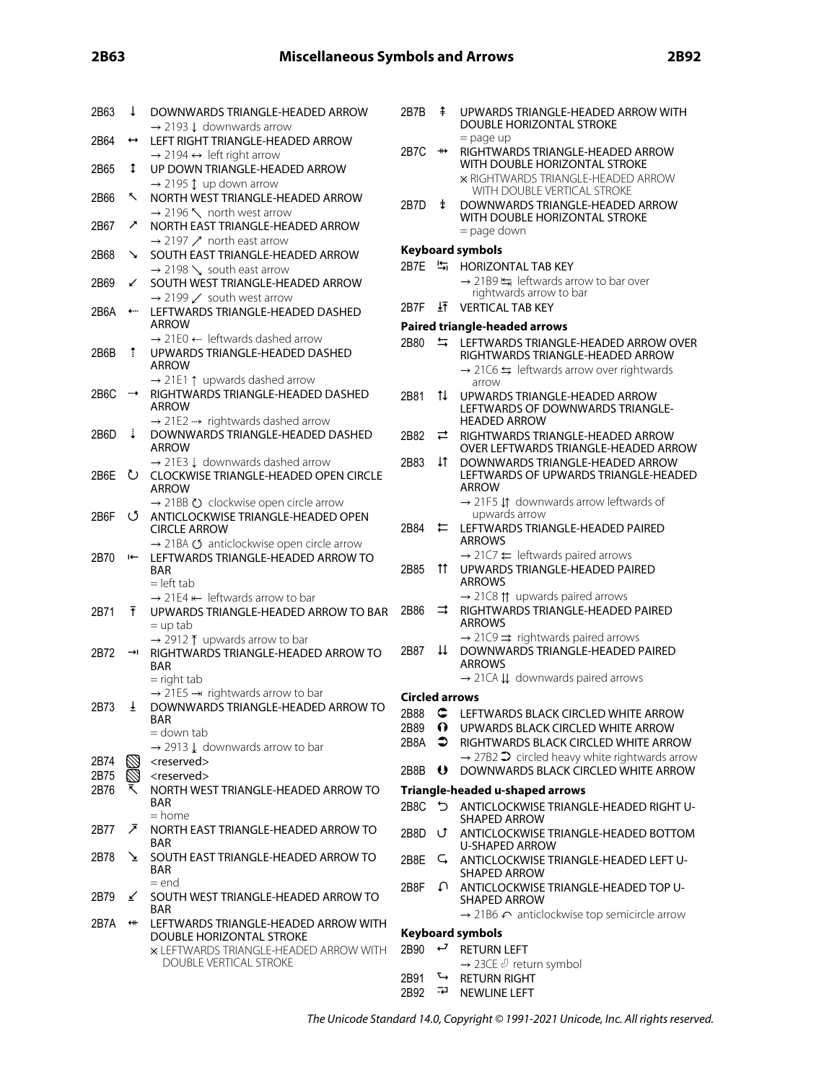| 2B63         | ↓                                             | DOWNWARDS TRIANGLE-HEADED ARROW<br>$\rightarrow$ 2193 $\downarrow$ downwards arrow                                              | 2B7B                          | ⇞                     |
|--------------|-----------------------------------------------|---------------------------------------------------------------------------------------------------------------------------------|-------------------------------|-----------------------|
| 2B64         | $\leftrightarrow$                             | LEFT RIGHT TRIANGLE-HEADED ARROW<br>$\rightarrow$ 2194 $\leftrightarrow$ left right arrow                                       | 2B7C                          | $_{\rm \#}$           |
| 2B65         | ↨                                             | UP DOWN TRIANGLE-HEADED ARROW                                                                                                   |                               |                       |
| 2B66         | ↖                                             | $\rightarrow$ 2195 1 up down arrow<br>NORTH WEST TRIANGLE-HEADED ARROW                                                          | 2B7D                          | ŧ                     |
| 2B67         | ↗                                             | $\rightarrow$ 2196 \ north west arrow<br>NORTH EAST TRIANGLE-HEADED ARROW                                                       |                               |                       |
| 2B68         | ↘                                             | $\rightarrow$ 2197 $\nearrow$ north east arrow<br>SOUTH EAST TRIANGLE-HEADED ARROW                                              | Keyboar<br>2B7E               | 칙                     |
| 2B69         | ↙                                             | $\rightarrow$ 2198 \, south east arrow<br>SOUTH WEST TRIANGLE-HEADED ARROW                                                      |                               |                       |
| 2B6A         | ←…                                            | $\rightarrow$ 2199 $\swarrow$ south west arrow<br>LEFTWARDS TRIANGLE-HEADED DASHED                                              | 2B7F                          | ŦŦ                    |
|              |                                               | ARROW<br>$\rightarrow$ 21E0 $\leftarrow$ leftwards dashed arrow                                                                 | <b>Paired tr</b><br>2B80      | ⇆                     |
| 2B6B         | Ť                                             | UPWARDS TRIANGLE-HEADED DASHED<br>ARROW                                                                                         |                               |                       |
| 2B6C         |                                               | $\rightarrow$ 21E1 $\uparrow$ upwards dashed arrow<br>RIGHTWARDS TRIANGLE-HEADED DASHED                                         |                               |                       |
|              |                                               | ARROW                                                                                                                           | 2B81                          | 1ļ                    |
| 2B6D         | ↓                                             | $\rightarrow$ 21E2 $\rightarrow$ rightwards dashed arrow<br>DOWNWARDS TRIANGLE-HEADED DASHED<br><b>ARROW</b>                    | 2B82                          | ⇄                     |
|              |                                               | $\rightarrow$ 21E3 $\downarrow$ downwards dashed arrow                                                                          | 2B83                          | 1t                    |
| 2B6E         | ↻                                             | <b>CLOCKWISE TRIANGLE-HEADED OPEN CIRCLE</b><br><b>ARROW</b>                                                                    |                               |                       |
| 2B6F         | U                                             | $\rightarrow$ 21BB $\circlearrowright$ clockwise open circle arrow<br>ANTICLOCKWISE TRIANGLE-HEADED OPEN<br><b>CIRCLE ARROW</b> | 2B84                          | ⇇                     |
| 2B70         | I←                                            | → 21BA Ø anticlockwise open circle arrow<br>LEFTWARDS TRIANGLE-HEADED ARROW TO<br>BAR<br>$=$ left tab                           | 2B85                          | 11                    |
| 2B71         | Ŧ                                             | $\rightarrow$ 21E4 $\leftarrow$ leftwards arrow to bar<br>UPWARDS TRIANGLE-HEADED ARROW TO BAR<br>$=$ up tab                    | 2B86                          | ⇉                     |
| 2B72         | ⇥                                             | → 2912 T upwards arrow to bar<br>RIGHTWARDS TRIANGLE-HEADED ARROW TO<br>BAR                                                     | 2B87                          | $\uparrow \downarrow$ |
|              |                                               | $=$ right tab<br>$\rightarrow$ 21E5 $\rightarrow$ rightwards arrow to bar                                                       |                               |                       |
| 2B73         | Ŧ                                             | DOWNWARDS TRIANGLE-HEADED ARROW TO<br><b>BAR</b>                                                                                | Circled a<br>2B88 C<br>2B89 1 |                       |
|              |                                               | = down tab<br>$\rightarrow$ 2913 $\downarrow$ downwards arrow to bar                                                            | 2B8A                          |                       |
| 2B74         |                                               | <reserved></reserved>                                                                                                           | 2B8B                          | U                     |
| 2B75<br>2B76 |                                               | <reserved><br/>NORTH WEST TRIANGLE-HEADED ARROW TO<br/>BAR</reserved>                                                           | <b>Triangle</b><br>2B8C       | ⊃                     |
| 2B77         | ↗                                             | $=$ home<br>NORTH EAST TRIANGLE-HEADED ARROW TO                                                                                 | 2B8D                          | U                     |
| 2B78         | ≥                                             | BAR<br>SOUTH EAST TRIANGLE-HEADED ARROW TO                                                                                      | 2B8E                          | ς                     |
|              |                                               | <b>BAR</b><br>$=$ end                                                                                                           | 2B8F                          | ₽                     |
| 2B79         | ⊻                                             | SOUTH WEST TRIANGLE-HEADED ARROW TO<br>BAR                                                                                      |                               |                       |
| 2B7A         | $\textcolor{red}{\bigoplus\limits_{i=1}^{n}}$ | LEFTWARDS TRIANGLE-HEADED ARROW WITH<br>DOUBLE HORIZONTAL STROKE                                                                | Keyboar                       |                       |
|              |                                               | <b>* LEFTWARDS TRIANGLE-HEADED ARROW WITH</b><br><b>DOUBLE VERTICAL STROKE</b>                                                  | 2B90                          | ب                     |
|              |                                               |                                                                                                                                 | 2B91<br>0000                  | ╰┙<br>דכר             |

| 2R7R              | ‡ UPWARDS TRIANGLE-HEADED ARROW WITH<br>DOUBLE HORIZONTAL STROKE  |  |  |  |  |
|-------------------|-------------------------------------------------------------------|--|--|--|--|
|                   | $=$ page up                                                       |  |  |  |  |
| 2B <sub>7</sub> C | RIGHTWARDS TRIANGLE-HEADED ARROW<br>WITH DOUBLE HORIZONTAL STROKE |  |  |  |  |
|                   |                                                                   |  |  |  |  |
|                   | <b>* RIGHTWARDS TRIANGLE-HEADED ARROW</b>                         |  |  |  |  |
|                   | WITH DOUBLE VERTICAL STROKE                                       |  |  |  |  |
| 2R7D              | <b>‡ DOWNWARDS TRIANGLE-HEADED ARROW</b>                          |  |  |  |  |
|                   | WITH DOUBLE HORIZONTAL STROKE                                     |  |  |  |  |

= page down

# r**d symbols**

- HORIZONTAL TAB KEY
	- → 21B9 < leftwards arrow to bar over rightwards arrow to bar
	- VERTICAL TAB KEY

### **Paired triangle-headed arrows**

| 2B80                  | ⇆           | LEFTWARDS TRIANGLE-HEADED ARROW OVER<br>RIGHTWARDS TRIANGLE-HEADED ARROW                                                                      |
|-----------------------|-------------|-----------------------------------------------------------------------------------------------------------------------------------------------|
|                       |             | $\rightarrow$ 21C6 $\leftrightharpoons$ leftwards arrow over rightwards<br>arrow                                                              |
| 2B81                  | tI.         | UPWARDS TRIANGLE-HEADED ARROW<br>LEFTWARDS OF DOWNWARDS TRIANGLE-<br><b>HEADED ARROW</b>                                                      |
| 2B82                  | ⇄           | RIGHTWARDS TRIANGLE-HEADED ARROW<br>OVER LEFTWARDS TRIANGLE-HEADED ARROW                                                                      |
| 2B83                  | TT.         | DOWNWARDS TRIANGLE-HEADED ARROW<br>LEFTWARDS OF UPWARDS TRIANGLE-HEADED<br><b>ARROW</b><br>$\rightarrow$ 21F5 L1 downwards arrow leftwards of |
|                       |             | upwards arrow                                                                                                                                 |
| 2B84                  | ⇇           | LEFTWARDS TRIANGLE-HEADED PAIRED<br><b>ARROWS</b>                                                                                             |
|                       |             | $\rightarrow$ 21C7 $\leftarrow$ leftwards paired arrows                                                                                       |
| 2B85                  | tt.         | UPWARDS TRIANGLE-HEADED PAIRED<br><b>ARROWS</b>                                                                                               |
|                       |             | $\rightarrow$ 21C8 $\uparrow\uparrow$ upwards paired arrows                                                                                   |
| 2B86                  | ⇉           | RIGHTWARDS TRIANGLE-HEADED PAIRED<br><b>ARROWS</b>                                                                                            |
|                       |             | $\rightarrow$ 21C9 $\Rightarrow$ rightwards paired arrows                                                                                     |
| 2B87                  | ⇊           | DOWNWARDS TRIANGLE-HEADED PAIRED<br><b>ARROWS</b>                                                                                             |
|                       |             | $\rightarrow$ 21CA II downwards paired arrows                                                                                                 |
| <b>Circled arrows</b> |             |                                                                                                                                               |
| 2B88                  | $\mathbf C$ | LEFTWARDS BLACK CIRCLED WHITE ARROW                                                                                                           |
| 2B89<br>2B8A          | 0.<br>≏     | UPWARDS BLACK CIRCLED WHITE ARROW                                                                                                             |
|                       |             | RIGHTWARDS BLACK CIRCLED WHITE ARROW<br>$\rightarrow$ 27B2 $\rightarrow$ circled heavy white rightwards arrow                                 |
| 2B8B                  | $\bullet$   | DOWNWARDS BLACK CIRCLED WHITE ARROW                                                                                                           |
|                       |             | Triangle-headed u-shaped arrows                                                                                                               |
| 2B8C                  | ⅁           | ANTICLOCKWISE TRIANGLE-HEADED RIGHT U-<br><b>SHAPED ARROW</b>                                                                                 |
| 2B8D                  | U.          | ANTICLOCKWISE TRIANGLE-HEADED BOTTOM<br>U-SHAPED ARROW                                                                                        |
| 2B8E                  | ς.          | ANTICLOCKWISE TRIANGLE-HEADED LEFT U-<br><b>SHAPED ARROW</b>                                                                                  |
| 2B8F                  | ∩           | ANTICLOCKWISE TRIANGLE-HEADED TOP U-<br><b>SHAPED ARROW</b>                                                                                   |
|                       |             | $\rightarrow$ 21B6 $\curvearrowleft$ anticlockwise top semicircle arrow                                                                       |
|                       |             | <b>Keyboard symbols</b>                                                                                                                       |
| 2B90                  | ↩           | <b>RETURN LEFT</b><br>→ 23CE J return symbol                                                                                                  |
| 2B91                  | ↳           | <b>RETURN RIGHT</b>                                                                                                                           |
|                       |             |                                                                                                                                               |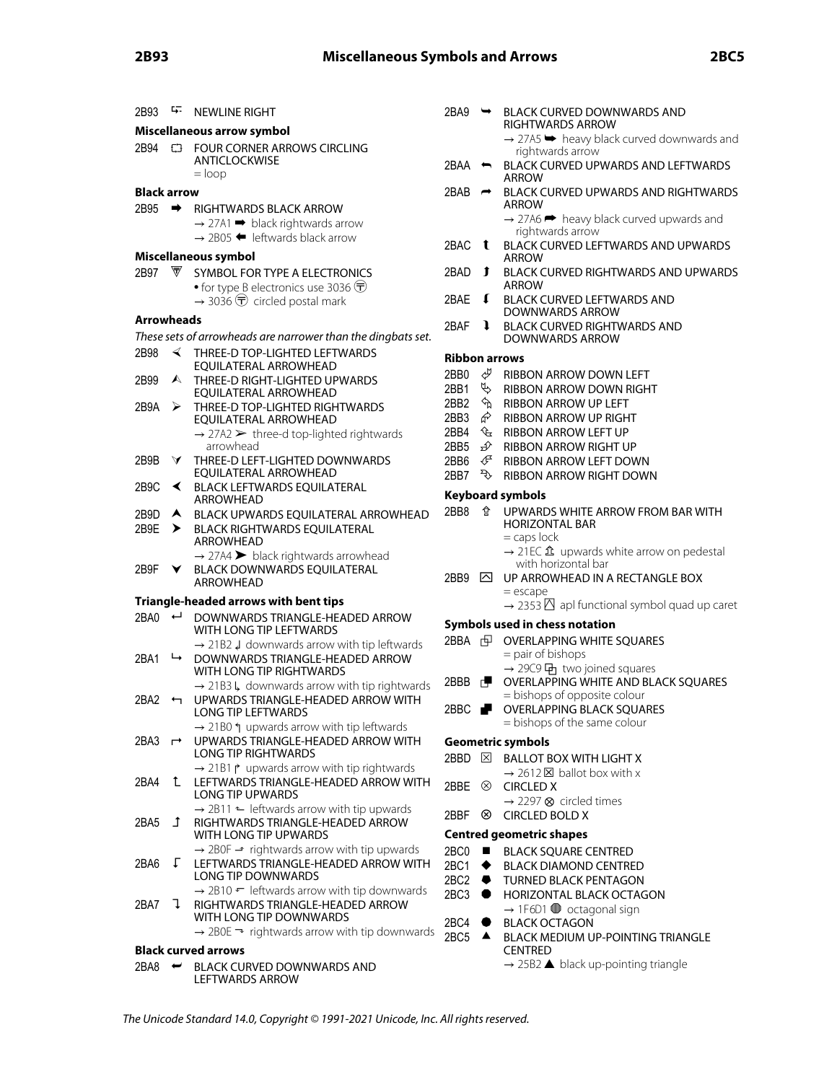| 2B93               | ц.               | <b>NEWLINE RIGHT</b>                                                                                                | 2BA9                    | $\rightarrow$    | <b>BLACK CURVED DOWNWARDS AND</b>                                                     |  |  |  |
|--------------------|------------------|---------------------------------------------------------------------------------------------------------------------|-------------------------|------------------|---------------------------------------------------------------------------------------|--|--|--|
|                    |                  | Miscellaneous arrow symbol                                                                                          |                         |                  | RIGHTWARDS ARROW                                                                      |  |  |  |
| 2B94               |                  | <b>ED FOUR CORNER ARROWS CIRCLING</b>                                                                               |                         |                  | $\rightarrow$ 27A5 $\rightarrow$ heavy black curved downwards and<br>rightwards arrow |  |  |  |
|                    |                  | ANTICLOCKWISE<br>$=$ loop                                                                                           | 2BAA                    | $\leftarrow$     | <b>BLACK CURVED UPWARDS AND LEFTWARDS</b><br><b>ARROW</b>                             |  |  |  |
| <b>Black arrow</b> |                  |                                                                                                                     | 2BAB                    | $\rightarrow$    | <b>BLACK CURVED UPWARDS AND RIGHTWARDS</b>                                            |  |  |  |
| 2B95               | ➡                | RIGHTWARDS BLACK ARROW                                                                                              |                         |                  | <b>ARROW</b><br>$\rightarrow$ 27A6 $\rightarrow$ heavy black curved upwards and       |  |  |  |
|                    |                  | $\rightarrow$ 27A1 $\rightarrow$ black rightwards arrow<br>$\rightarrow$ 2B05 $\blacklozenge$ leftwards black arrow |                         |                  | rightwards arrow                                                                      |  |  |  |
|                    |                  | Miscellaneous symbol                                                                                                | 2BAC                    | $\mathbf{t}$     | <b>BLACK CURVED LEFTWARDS AND UPWARDS</b><br><b>ARROW</b>                             |  |  |  |
| 2B97               | ∀                | SYMBOL FOR TYPE A ELECTRONICS                                                                                       | 2BAD                    | Ĵ                | <b>BLACK CURVED RIGHTWARDS AND UPWARDS</b>                                            |  |  |  |
|                    |                  | • for type B electronics use 3036 $\overline{\mathbb{D}}$                                                           |                         |                  | <b>ARROW</b>                                                                          |  |  |  |
|                    |                  | $\rightarrow$ 3036 $\overline{\mathbf{U}}$ circled postal mark                                                      | 2BAE                    | $\mathbf{I}$     | BLACK CURVED LEFTWARDS AND<br>DOWNWARDS ARROW                                         |  |  |  |
| Arrowheads         |                  |                                                                                                                     | 2BAF                    | $\mathbf{I}$     | <b>BLACK CURVED RIGHTWARDS AND</b>                                                    |  |  |  |
|                    |                  | These sets of arrowheads are narrower than the dingbats set.                                                        |                         |                  | DOWNWARDS ARROW                                                                       |  |  |  |
| 2B98               | ◀                | THREE-D TOP-LIGHTED LEFTWARDS<br>EQUILATERAL ARROWHEAD                                                              | <b>Ribbon arrows</b>    |                  |                                                                                       |  |  |  |
| 2B99               | $\blacktriangle$ | THREE-D RIGHT-LIGHTED UPWARDS                                                                                       | 2BB0                    | Ð                | RIBBON ARROW DOWN LEFT                                                                |  |  |  |
|                    |                  | EQUILATERAL ARROWHEAD                                                                                               | 2BB1                    | Þ,               | <b>RIBBON ARROW DOWN RIGHT</b>                                                        |  |  |  |
| 2B9A               | ➤                | THREE-D TOP-LIGHTED RIGHTWARDS                                                                                      | 2BB <sub>2</sub>        | ⇘                | <b>RIBBON ARROW UP LEFT</b>                                                           |  |  |  |
|                    |                  | EQUILATERAL ARROWHEAD                                                                                               | 2BB3                    | ଙ                | RIBBON ARROW UP RIGHT                                                                 |  |  |  |
|                    |                  | $\rightarrow$ 27A2 $\triangleright$ three-d top-lighted rightwards                                                  | 2BB4                    |                  | <b><i>L</i></b> RIBBON ARROW LEFT UP                                                  |  |  |  |
|                    |                  | arrowhead                                                                                                           | 2BB <sub>5</sub>        | ∯                | RIBBON ARROW RIGHT UP                                                                 |  |  |  |
| 2B9B               | $\blacktriangle$ | THREE-D LEFT-LIGHTED DOWNWARDS                                                                                      | 2BB6                    | ∉                | RIBBON ARROW LEFT DOWN                                                                |  |  |  |
|                    |                  | EQUILATERAL ARROWHEAD                                                                                               | 2BB7                    | $\sigma$         | <b>RIBBON ARROW RIGHT DOWN</b>                                                        |  |  |  |
| 2B9C               | ≺                | <b>BLACK LEFTWARDS EQUILATERAL</b><br>ARROWHEAD                                                                     | <b>Keyboard symbols</b> |                  |                                                                                       |  |  |  |
| 2B9D               |                  | A BLACK UPWARDS EQUILATERAL ARROWHEAD                                                                               | 2BB8                    | ✿                | UPWARDS WHITE ARROW FROM BAR WITH                                                     |  |  |  |
| 2B9E               | ➤                | <b>BLACK RIGHTWARDS EQUILATERAL</b><br>ARROWHEAD                                                                    |                         |                  | <b>HORIZONTAL BAR</b><br>$=$ caps lock                                                |  |  |  |
|                    |                  | $\rightarrow$ 27A4 > black rightwards arrowhead                                                                     |                         |                  | $\rightarrow$ 21EC $\hat{\mathbf{\Omega}}$ upwards white arrow on pedestal            |  |  |  |
| 2B9F               | Y.               | BLACK DOWNWARDS EQUILATERAL                                                                                         | 2BB9                    |                  | with horizontal bar<br>$\boxtimes$ UP ARROWHEAD IN A RECTANGLE BOX                    |  |  |  |
|                    |                  | ARROWHEAD                                                                                                           |                         |                  | $=$ escape                                                                            |  |  |  |
|                    |                  | Triangle-headed arrows with bent tips                                                                               |                         |                  | $\rightarrow$ 2353 $\overline{\triangle}$ apl functional symbol quad up caret         |  |  |  |
| 2BA0               | ↵                | DOWNWARDS TRIANGLE-HEADED ARROW                                                                                     |                         |                  | Symbols used in chess notation                                                        |  |  |  |
|                    |                  | WITH LONG TIP LEFTWARDS<br>$\rightarrow$ 21B2 $\downarrow$ downwards arrow with tip leftwards                       | 2BBA 中                  |                  | <b>OVERLAPPING WHITE SQUARES</b>                                                      |  |  |  |
| 2BA1               | ↳                | DOWNWARDS TRIANGLE-HEADED ARROW                                                                                     |                         |                  | = pair of bishops                                                                     |  |  |  |
|                    |                  | WITH LONG TIP RIGHTWARDS                                                                                            |                         |                  | → 29C9 中 two joined squares                                                           |  |  |  |
|                    |                  | $\rightarrow$ 21B3 L, downwards arrow with tip rightwards                                                           | 2BBB $\Box$             |                  | OVERLAPPING WHITE AND BLACK SQUARES                                                   |  |  |  |
| 2BA2               |                  | UPWARDS TRIANGLE-HEADED ARROW WITH                                                                                  |                         |                  | = bishops of opposite colour                                                          |  |  |  |
|                    |                  | LONG TIP LEFTWARDS                                                                                                  | 2BBC                    |                  | <b>OVERLAPPING BLACK SQUARES</b>                                                      |  |  |  |
|                    |                  | $\rightarrow$ 21B0 $\uparrow$ upwards arrow with tip leftwards                                                      |                         |                  | = bishops of the same colour                                                          |  |  |  |
| 2BA3 $\rightarrow$ |                  | UPWARDS TRIANGLE-HEADED ARROW WITH                                                                                  |                         |                  | <b>Geometric symbols</b>                                                              |  |  |  |
|                    |                  | <b>LONG TIP RIGHTWARDS</b>                                                                                          |                         |                  | 2BBD <b>EX BALLOT BOX WITH LIGHT X</b>                                                |  |  |  |
|                    |                  | $\rightarrow$ 21B1 $\uparrow$ upwards arrow with tip rightwards                                                     |                         |                  | $\rightarrow$ 2612 $\times$ ballot box with x                                         |  |  |  |
| 2BA4               | $\mathbf{L}$     | LEFTWARDS TRIANGLE-HEADED ARROW WITH                                                                                |                         |                  | 2BBE <sup>®</sup> CIRCLED X                                                           |  |  |  |
|                    |                  | LONG TIP UPWARDS                                                                                                    |                         |                  | $\rightarrow$ 2297 $\otimes$ circled times                                            |  |  |  |
|                    |                  | $\rightarrow$ 2B11 $\leftarrow$ leftwards arrow with tip upwards                                                    | 2BBF                    | ⊗                | <b>CIRCLED BOLD X</b>                                                                 |  |  |  |
| 2BA5               | $\mathbf{I}$     | RIGHTWARDS TRIANGLE-HEADED ARROW<br>WITH LONG TIP UPWARDS                                                           |                         |                  | <b>Centred geometric shapes</b>                                                       |  |  |  |
|                    |                  | $\rightarrow$ 2B0F $\rightarrow$ rightwards arrow with tip upwards                                                  | $2BCO$ $\blacksquare$   |                  | <b>BLACK SQUARE CENTRED</b>                                                           |  |  |  |
| 2BA6               | $\perp$          | LEFTWARDS TRIANGLE-HEADED ARROW WITH                                                                                | 2BC1 $\blacklozenge$    |                  | <b>BLACK DIAMOND CENTRED</b>                                                          |  |  |  |
|                    |                  | LONG TIP DOWNWARDS                                                                                                  | 2BC2 $\bullet$          |                  | <b>TURNED BLACK PENTAGON</b>                                                          |  |  |  |
|                    |                  | $\rightarrow$ 2B10 $\leftarrow$ leftwards arrow with tip downwards                                                  | $2BC3$ $\bullet$        |                  | HORIZONTAL BLACK OCTAGON                                                              |  |  |  |
| 2BA7               | $\perp$          | RIGHTWARDS TRIANGLE-HEADED ARROW                                                                                    |                         |                  | $\rightarrow$ 1F6D1 $\bullet$ octagonal sign                                          |  |  |  |
|                    |                  | WITH LONG TIP DOWNWARDS                                                                                             | 2BC4                    | $\bullet$        | <b>BLACK OCTAGON</b>                                                                  |  |  |  |
|                    |                  | $\rightarrow$ 2B0E $\rightarrow$ rightwards arrow with tip downwards                                                | 2BC5                    | $\blacktriangle$ | BLACK MEDIUM UP-POINTING TRIANGLE                                                     |  |  |  |
|                    |                  | Black curved arrows                                                                                                 |                         |                  | <b>CENTRED</b>                                                                        |  |  |  |
|                    |                  | 2BA8 ← BLACK CURVED DOWNWARDS AND                                                                                   |                         |                  | $\rightarrow$ 25B2 $\blacktriangle$ black up-pointing triangle                        |  |  |  |

LEFTWARDS ARROW

- $\overline{\mathcal{M}}$ CURVED UPWARDS AND RIGHTWARDS  $\mathsf{w}$  $6 \rightarrow$  heavy black curved upwards and twards arrow CURVED LEFTWARDS AND UPWARDS ARROW CURVED RIGHTWARDS AND UPWARDS  $\mathsf{W}$ CURVED LEFTWARDS AND DOWNWARDS ARROW CURVED RIGHTWARDS AND **NWARDS ARROW N ARROW DOWN LEFT N ARROW DOWN RIGHT N ARROW UP LEFT N ARROW UP RIGHT N ARROW LEFT UP N ARROW RIGHT UP** N ARROW LEFT DOWN **N ARROW RIGHT DOWN Keyboard symbols**
	- RDS WHITE ARROW FROM BAR WITH **CONTAL BAR** lock
		- $\mathcal{L}$   $\hat{\mathbf{\Omega}}$  upwards white arrow on pedestal horizontal bar

- ROWHEAD IN A RECTANGLE BOX  $ne$ 
	- $3\overline{5}$  apl functional symbol quad up caret

# **Chess notation**

- APPING WHITE SQUARES of bishops
	- 9 中 two joined squares
- APPING WHITE AND BLACK SQUARES ops of opposite colour
- APPING BLACK SQUARES ops of the same colour

# ols

- **DT BOX WITH LIGHT X** 
	- $2\boxtimes$  ballot box with x
- ED X 7 ⊗ circled times
- ED BOLD X

### **Centred geometric shapes**

- SQUARE CENTRED
- DIAMOND CENTRED
- ED BLACK PENTAGON
- ONTAL BLACK OCTAGON  $\n **DD1**$  octagonal sign
- **OCTAGON**
- MEDIUM UP-POINTING TRIANGLE RED
	- $32$  black up-pointing triangle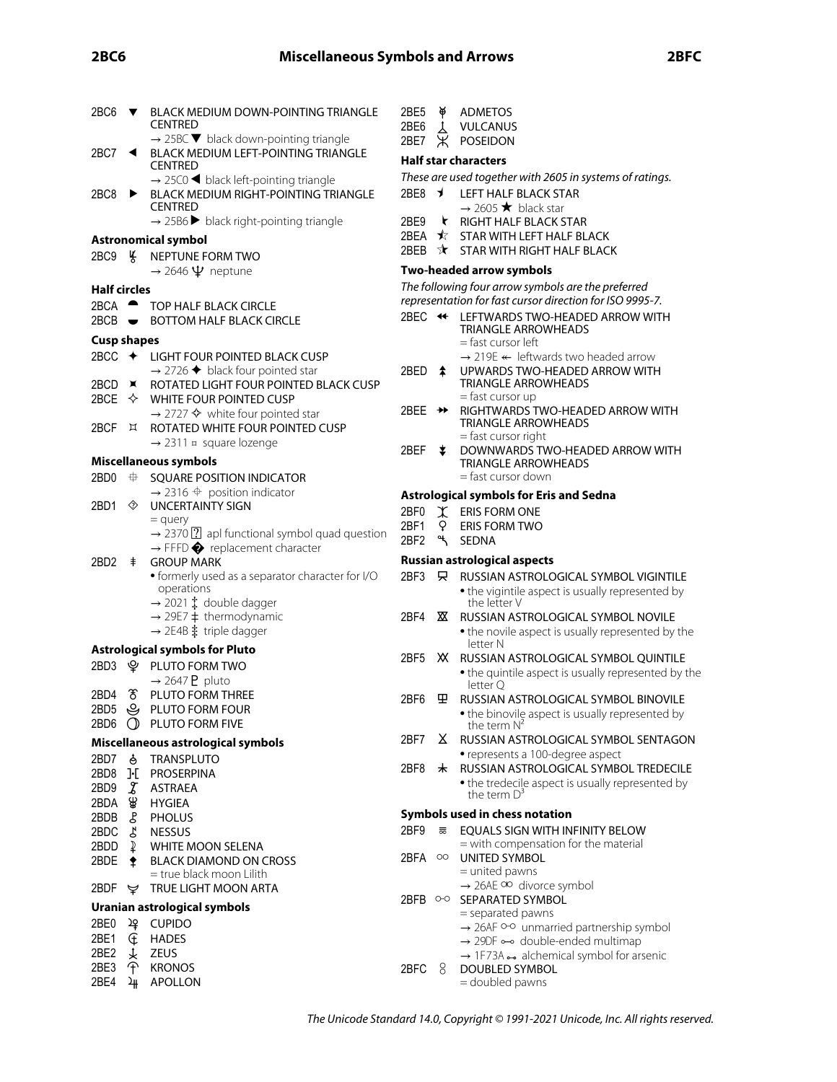### **2BC6 Miscellaneous Symbols and Arrows 2BFC**

| 2BC6                      | $\overline{\mathbf{v}}$                                              | BLACK MEDIUM DOWN-POINTING TRIANGLE                                                                                | 2BE5               | ¥                                                        | <b>ADMETOS</b>                                                                                               |  |  |  |  |  |
|---------------------------|----------------------------------------------------------------------|--------------------------------------------------------------------------------------------------------------------|--------------------|----------------------------------------------------------|--------------------------------------------------------------------------------------------------------------|--|--|--|--|--|
|                           |                                                                      | <b>CENTRED</b>                                                                                                     | 2BE <sub>6</sub>   | $\lambda$                                                | <b>VULCANUS</b>                                                                                              |  |  |  |  |  |
| 2BC7 $\blacktriangleleft$ |                                                                      | $\rightarrow$ 25BC $\blacktriangledown$ black down-pointing triangle<br><b>BLACK MEDIUM LEFT-POINTING TRIANGLE</b> | 2BE7               | Ж                                                        | POSEIDON                                                                                                     |  |  |  |  |  |
|                           |                                                                      | <b>CENTRED</b>                                                                                                     |                    |                                                          | <b>Half star characters</b>                                                                                  |  |  |  |  |  |
|                           | $\rightarrow$ 25C0 $\blacktriangleleft$ black left-pointing triangle |                                                                                                                    |                    | These are used together with 2605 in systems of ratings. |                                                                                                              |  |  |  |  |  |
| 2BC8                      | $\blacktriangleright$                                                | <b>BLACK MEDIUM RIGHT-POINTING TRIANGLE</b>                                                                        |                    |                                                          | 2BE8 J LEFT HALF BLACK STAR                                                                                  |  |  |  |  |  |
|                           |                                                                      | <b>CENTRED</b>                                                                                                     |                    |                                                          | $\rightarrow$ 2605 $\bigstar$ black star                                                                     |  |  |  |  |  |
|                           |                                                                      | $\rightarrow$ 25B6 black right-pointing triangle                                                                   | 2BE9               |                                                          | RIGHT HALF BLACK STAR                                                                                        |  |  |  |  |  |
|                           |                                                                      | <b>Astronomical symbol</b>                                                                                         |                    |                                                          | 2BEA ★ STAR WITH LEFT HALF BLACK                                                                             |  |  |  |  |  |
| 2BC9                      | ™, K                                                                 | NEPTUNE FORM TWO                                                                                                   |                    |                                                          | 2BEB $\forall$ STAR WITH RIGHT HALF BLACK                                                                    |  |  |  |  |  |
|                           |                                                                      | $\rightarrow$ 2646 $\Psi$ neptune                                                                                  |                    |                                                          | Two-headed arrow symbols                                                                                     |  |  |  |  |  |
| <b>Half circles</b>       |                                                                      |                                                                                                                    |                    |                                                          | The following four arrow symbols are the preferred                                                           |  |  |  |  |  |
| $2BCA$ $\rightarrow$      |                                                                      | TOP HALF BLACK CIRCLE                                                                                              |                    |                                                          | representation for fast cursor direction for ISO 9995-7.                                                     |  |  |  |  |  |
|                           |                                                                      | 2BCB • BOTTOM HALF BLACK CIRCLE                                                                                    |                    |                                                          | 2BEC << LEFTWARDS TWO-HEADED ARROW WITH                                                                      |  |  |  |  |  |
| <b>Cusp shapes</b>        |                                                                      |                                                                                                                    |                    |                                                          | TRIANGLE ARROWHEADS<br>$=$ fast cursor left                                                                  |  |  |  |  |  |
|                           |                                                                      | 2BCC ← LIGHT FOUR POINTED BLACK CUSP                                                                               |                    |                                                          | $\rightarrow$ 219E $\leftarrow$ leftwards two headed arrow                                                   |  |  |  |  |  |
|                           |                                                                      | $\rightarrow$ 2726 $\blacklozenge$ black four pointed star                                                         | 2BED $\triangle$   |                                                          | UPWARDS TWO-HEADED ARROW WITH                                                                                |  |  |  |  |  |
|                           |                                                                      | 2BCD X ROTATED LIGHT FOUR POINTED BLACK CUSP                                                                       |                    |                                                          | <b>TRIANGLE ARROWHEADS</b>                                                                                   |  |  |  |  |  |
|                           |                                                                      | 2BCE $\Diamond$ WHITE FOUR POINTED CUSP                                                                            |                    |                                                          | $=$ fast cursor up                                                                                           |  |  |  |  |  |
|                           |                                                                      | $\rightarrow$ 2727 $\diamond$ white four pointed star                                                              | 2BEE $\rightarrow$ |                                                          | RIGHTWARDS TWO-HEADED ARROW WITH                                                                             |  |  |  |  |  |
| 2BCF                      | $\sqrt{2}$                                                           | ROTATED WHITE FOUR POINTED CUSP                                                                                    |                    |                                                          | <b>TRIANGLE ARROWHEADS</b><br>= fast cursor right                                                            |  |  |  |  |  |
|                           |                                                                      | $\rightarrow$ 2311 $\text{m}$ square lozenge                                                                       | 2BEF               | ≛                                                        | DOWNWARDS TWO-HEADED ARROW WITH                                                                              |  |  |  |  |  |
|                           |                                                                      | Miscellaneous symbols                                                                                              |                    |                                                          | TRIANGLE ARROWHEADS                                                                                          |  |  |  |  |  |
| 2BD <sub>0</sub>          | $\oplus$                                                             | SQUARE POSITION INDICATOR                                                                                          |                    |                                                          | = fast cursor down                                                                                           |  |  |  |  |  |
|                           |                                                                      | $\rightarrow$ 2316 $\oplus$ position indicator                                                                     |                    |                                                          | <b>Astrological symbols for Eris and Sedna</b>                                                               |  |  |  |  |  |
| 2BD1                      | ◈                                                                    | <b>UNCERTAINTY SIGN</b>                                                                                            | 2BF0               |                                                          | $X$ ERIS FORM ONE                                                                                            |  |  |  |  |  |
|                           |                                                                      | $=$ query                                                                                                          | 2BF1               | $\mathsf{Q}$                                             | <b>ERIS FORM TWO</b>                                                                                         |  |  |  |  |  |
|                           |                                                                      | $\rightarrow$ 2370 [?] apl functional symbol quad question<br>$\rightarrow$ FFFD $\bigcirc$ replacement character  | 2BF <sub>2</sub>   |                                                          | <sup>ዒ</sup> SEDNA                                                                                           |  |  |  |  |  |
| 2BD <sub>2</sub>          | <b>GROUP MARK</b><br>$\ddagger$                                      |                                                                                                                    |                    |                                                          | <b>Russian astrological aspects</b>                                                                          |  |  |  |  |  |
|                           |                                                                      | • formerly used as a separator character for I/O                                                                   | 2BF3               | 只                                                        | RUSSIAN ASTROLOGICAL SYMBOL VIGINTILE                                                                        |  |  |  |  |  |
|                           |                                                                      | operations                                                                                                         |                    |                                                          | • the vigintile aspect is usually represented by                                                             |  |  |  |  |  |
|                           |                                                                      | $\rightarrow$ 2021 $\ddagger$ double dagger                                                                        |                    |                                                          | the letter V                                                                                                 |  |  |  |  |  |
|                           |                                                                      | $\rightarrow$ 29E7 $\ddagger$ thermodynamic                                                                        | 2BF4               | ▩                                                        | RUSSIAN ASTROLOGICAL SYMBOL NOVILE                                                                           |  |  |  |  |  |
|                           |                                                                      | $\rightarrow$ 2E4B $\ddagger$ triple dagger                                                                        |                    |                                                          | • the novile aspect is usually represented by the<br>letter N                                                |  |  |  |  |  |
|                           |                                                                      | <b>Astrological symbols for Pluto</b>                                                                              | 2BF5               |                                                          | XX RUSSIAN ASTROLOGICAL SYMBOL QUINTILE                                                                      |  |  |  |  |  |
|                           |                                                                      | 2BD3 & PLUTO FORM TWO                                                                                              |                    |                                                          | • the quintile aspect is usually represented by the                                                          |  |  |  |  |  |
|                           |                                                                      | $\rightarrow$ 2647 <b>P</b> pluto                                                                                  |                    |                                                          | letter O                                                                                                     |  |  |  |  |  |
| 2BD4                      |                                                                      | <b>8 PLUTO FORM THREE</b>                                                                                          | 2BF6               | 里                                                        | RUSSIAN ASTROLOGICAL SYMBOL BINOVILE                                                                         |  |  |  |  |  |
| 2BD5                      |                                                                      | <b>S</b> PLUTO FORM FOUR                                                                                           |                    |                                                          | • the binovile aspect is usually represented by                                                              |  |  |  |  |  |
|                           |                                                                      | 2BD6 O PLUTO FORM FIVE                                                                                             |                    |                                                          | the term $N^2$                                                                                               |  |  |  |  |  |
|                           |                                                                      | Miscellaneous astrological symbols                                                                                 | 2BF7               |                                                          | X RUSSIAN ASTROLOGICAL SYMBOL SENTAGON                                                                       |  |  |  |  |  |
| 2BD7                      | ්                                                                    | <b>TRANSPLUTO</b>                                                                                                  | 2BF8               |                                                          | • represents a 100-degree aspect<br>* RUSSIAN ASTROLOGICAL SYMBOL TREDECILE                                  |  |  |  |  |  |
|                           |                                                                      | 2BD8 ]-[ PROSERPINA                                                                                                |                    |                                                          | • the tredecile aspect is usually represented by                                                             |  |  |  |  |  |
| 2BD9                      | $\mathcal{X}$                                                        | <b>ASTRAEA</b>                                                                                                     |                    |                                                          | the term $D^3$                                                                                               |  |  |  |  |  |
| 2BDA<br>2BDB              | ₩                                                                    | <b>HYGIEA</b>                                                                                                      |                    |                                                          | Symbols used in chess notation                                                                               |  |  |  |  |  |
| 2BDC                      | L<br>ζ                                                               | <b>PHOLUS</b><br><b>NESSUS</b>                                                                                     | 2BF9               | $\overline{\overline{\infty}}$                           | <b>EOUALS SIGN WITH INFINITY BELOW</b>                                                                       |  |  |  |  |  |
| 2BDD                      | $\mathbf{D}$                                                         | <b>WHITE MOON SELENA</b>                                                                                           |                    |                                                          | = with compensation for the material                                                                         |  |  |  |  |  |
| 2BDE                      | ෑ                                                                    | <b>BLACK DIAMOND ON CROSS</b>                                                                                      | 2BFA               | $\circ$                                                  | <b>UNITED SYMBOL</b>                                                                                         |  |  |  |  |  |
|                           |                                                                      | = true black moon Lilith                                                                                           |                    |                                                          | $=$ united pawns                                                                                             |  |  |  |  |  |
| 2BDF                      |                                                                      | <b>V</b> TRUE LIGHT MOON ARTA                                                                                      |                    |                                                          | $\rightarrow$ 26AE OO divorce symbol                                                                         |  |  |  |  |  |
|                           |                                                                      | Uranian astrological symbols                                                                                       |                    |                                                          | 2BFB 0-0 SEPARATED SYMBOL                                                                                    |  |  |  |  |  |
| 2BE0                      | ょ                                                                    | <b>CUPIDO</b>                                                                                                      |                    |                                                          | = separated pawns                                                                                            |  |  |  |  |  |
| 2BE1                      | Œ                                                                    | <b>HADES</b>                                                                                                       |                    |                                                          | → 26AF <sup>o-o</sup> unmarried partnership symbol<br>$\rightarrow$ 29DF $\rightarrow$ double-ended multimap |  |  |  |  |  |
| 2BE <sub>2</sub>          | ¥.                                                                   | ZEUS                                                                                                               |                    |                                                          | $\rightarrow$ 1F73A $\rightarrow$ alchemical symbol for arsenic                                              |  |  |  |  |  |
| 2BE3                      | F                                                                    | <b>KRONOS</b>                                                                                                      | 2BFC 8             |                                                          | DOUBLED SYMBOL                                                                                               |  |  |  |  |  |
| 2BE4                      | ર્મ⊢                                                                 | <b>APOLLON</b>                                                                                                     |                    |                                                          | = doubled pawns                                                                                              |  |  |  |  |  |
|                           |                                                                      |                                                                                                                    |                    |                                                          |                                                                                                              |  |  |  |  |  |